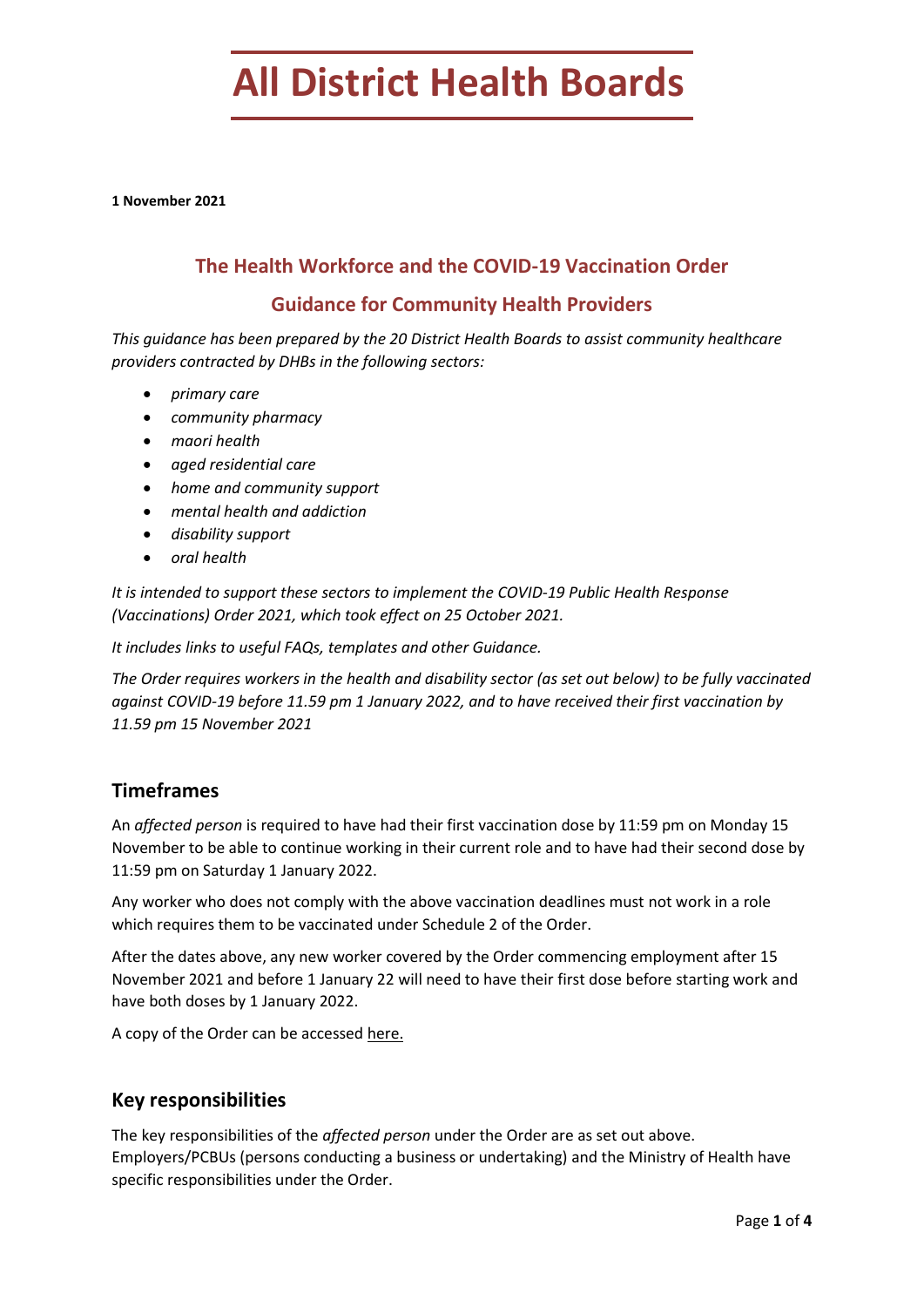# **All District Health Boards**

**1 November 2021**

# **The Health Workforce and the COVID-19 Vaccination Order**

# **Guidance for Community Health Providers**

*This guidance has been prepared by the 20 District Health Boards to assist community healthcare providers contracted by DHBs in the following sectors:*

- *primary care*
- *community pharmacy*
- *maori health*
- *aged residential care*
- *home and community support*
- *mental health and addiction*
- *disability support*
- *oral health*

*It is intended to support these sectors to implement the COVID-19 Public Health Response (Vaccinations) Order 2021, which took effect on 25 October 2021.*

*It includes links to useful FAQs, templates and other Guidance.* 

*The Order requires workers in the health and disability sector (as set out below) to be fully vaccinated against COVID-19 before 11.59 pm 1 January 2022, and to have received their first vaccination by 11.59 pm 15 November 2021*

# **Timeframes**

An *affected person* is required to have had their first vaccination dose by 11:59 pm on Monday 15 November to be able to continue working in their current role and to have had their second dose by 11:59 pm on Saturday 1 January 2022.

Any worker who does not comply with the above vaccination deadlines must not work in a role which requires them to be vaccinated under Schedule 2 of the Order.

After the dates above, any new worker covered by the Order commencing employment after 15 November 2021 and before 1 January 22 will need to have their first dose before starting work and have both doses by 1 January 2022.

A copy of the Order can be accesse[d here.](https://www.health.govt.nz/our-work/diseases-and-conditions/covid-19-novel-coronavirus/covid-19-response-planning/covid-19-epidemic-notice-and-orders#phrv)

## **Key responsibilities**

The key responsibilities of the *affected person* under the Order are as set out above. Employers/PCBUs (persons conducting a business or undertaking) and the Ministry of Health have specific responsibilities under the Order.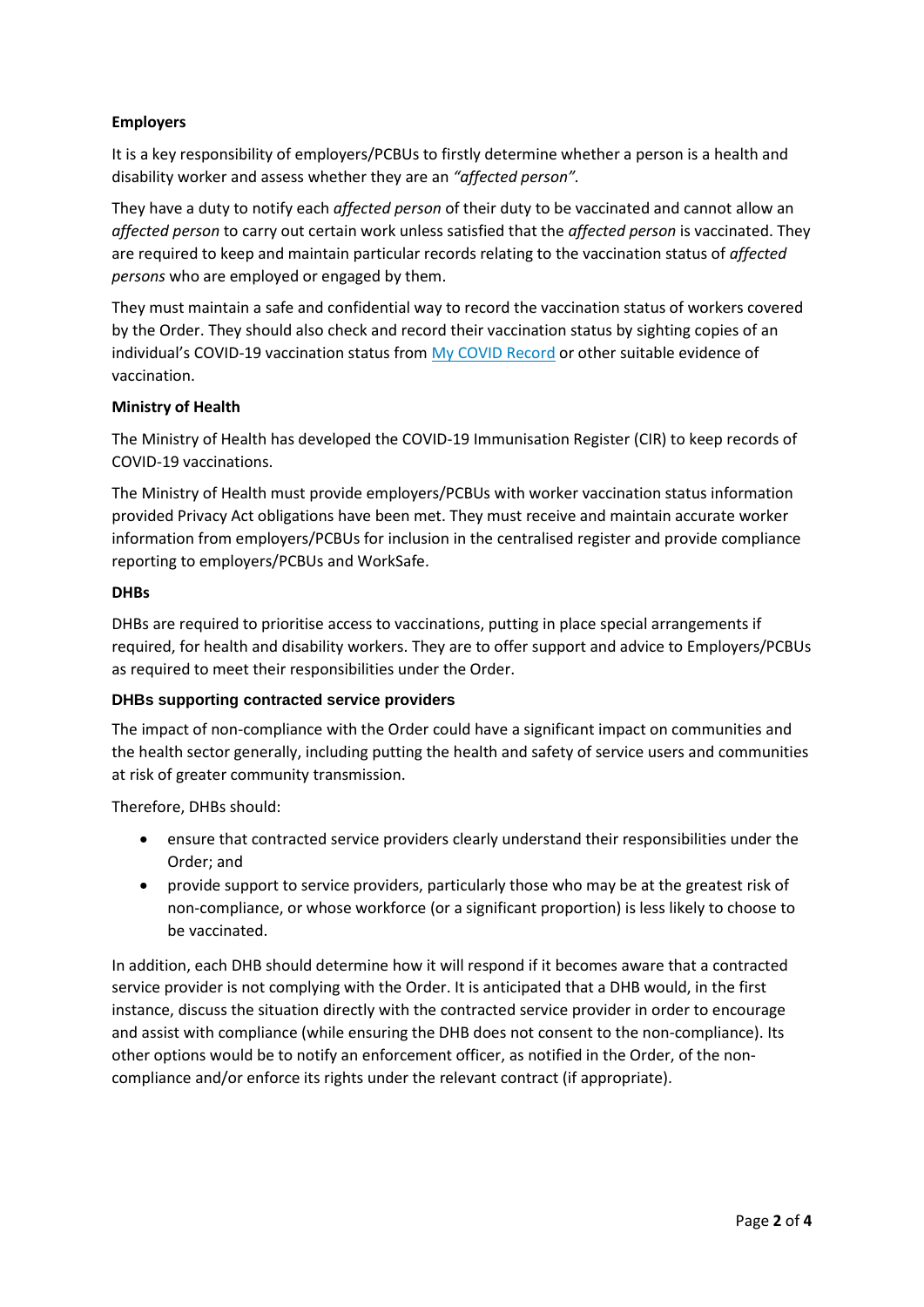## **Employers**

It is a key responsibility of employers/PCBUs to firstly determine whether a person is a health and disability worker and assess whether they are an *"affected person".*

They have a duty to notify each *affected person* of their duty to be vaccinated and cannot allow an *affected person* to carry out certain work unless satisfied that the *affected person* is vaccinated. They are required to keep and maintain particular records relating to the vaccination status of *affected persons* who are employed or engaged by them.

They must maintain a safe and confidential way to record the vaccination status of workers covered by the Order. They should also check and record their vaccination status by sighting copies of an individual's COVID-19 vaccination status from [My COVID Record](https://www.health.govt.nz/our-work/diseases-and-conditions/covid-19-novel-coronavirus/covid-19-vaccines/covid-19-requesting-proof-vaccination/my-covid-record) or other suitable evidence of vaccination.

#### **Ministry of Health**

The Ministry of Health has developed the COVID-19 Immunisation Register (CIR) to keep records of COVID-19 vaccinations.

The Ministry of Health must provide employers/PCBUs with worker vaccination status information provided Privacy Act obligations have been met. They must receive and maintain accurate worker information from employers/PCBUs for inclusion in the centralised register and provide compliance reporting to employers/PCBUs and WorkSafe.

#### **DHBs**

DHBs are required to prioritise access to vaccinations, putting in place special arrangements if required, for health and disability workers. They are to offer support and advice to Employers/PCBUs as required to meet their responsibilities under the Order.

## **DHBs supporting contracted service providers**

The impact of non-compliance with the Order could have a significant impact on communities and the health sector generally, including putting the health and safety of service users and communities at risk of greater community transmission.

Therefore, DHBs should:

- ensure that contracted service providers clearly understand their responsibilities under the Order; and
- provide support to service providers, particularly those who may be at the greatest risk of non-compliance, or whose workforce (or a significant proportion) is less likely to choose to be vaccinated.

In addition, each DHB should determine how it will respond if it becomes aware that a contracted service provider is not complying with the Order. It is anticipated that a DHB would, in the first instance, discuss the situation directly with the contracted service provider in order to encourage and assist with compliance (while ensuring the DHB does not consent to the non-compliance). Its other options would be to notify an enforcement officer, as notified in the Order, of the noncompliance and/or enforce its rights under the relevant contract (if appropriate).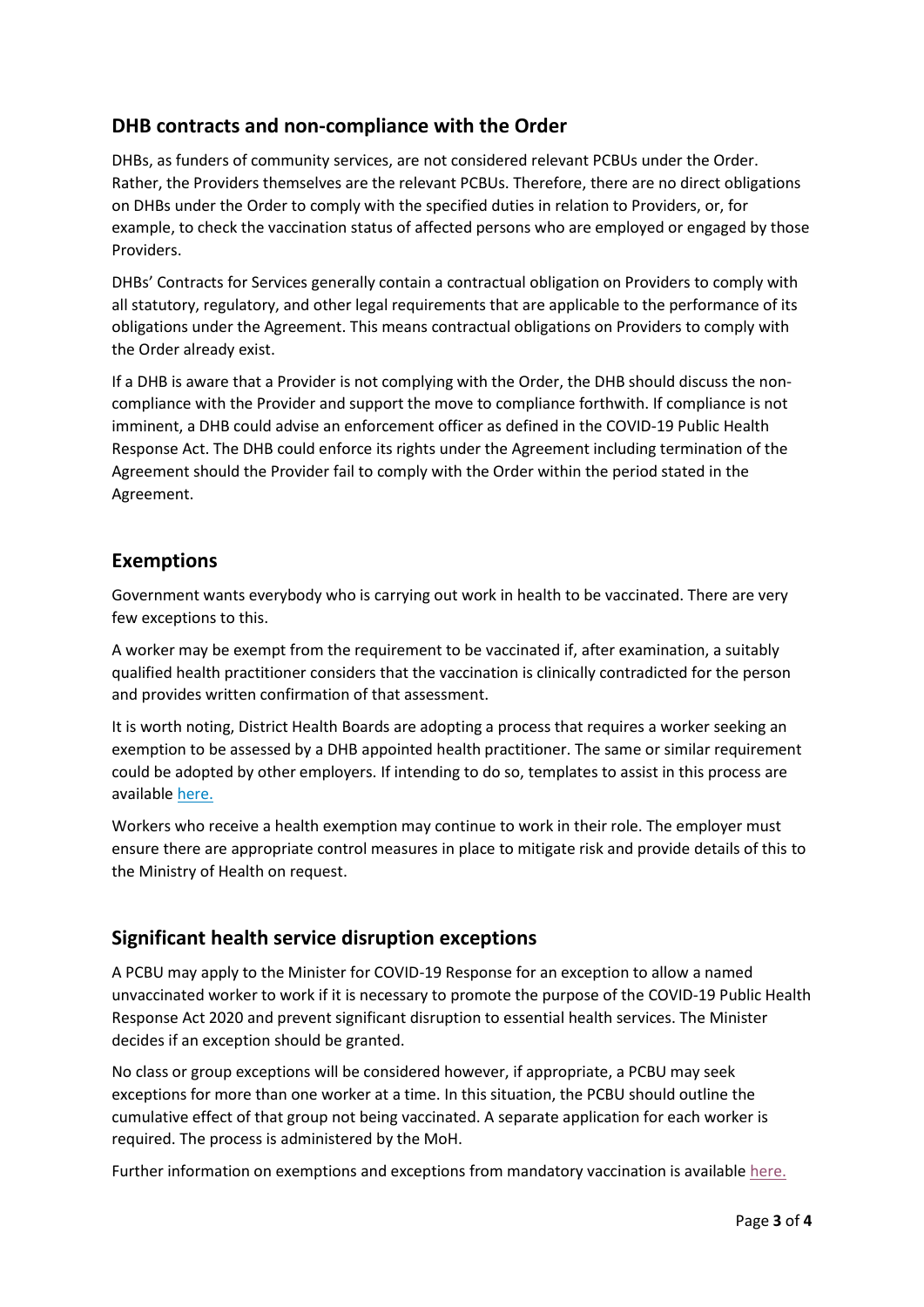# **DHB contracts and non-compliance with the Order**

DHBs, as funders of community services, are not considered relevant PCBUs under the Order. Rather, the Providers themselves are the relevant PCBUs. Therefore, there are no direct obligations on DHBs under the Order to comply with the specified duties in relation to Providers, or, for example, to check the vaccination status of affected persons who are employed or engaged by those Providers.

DHBs' Contracts for Services generally contain a contractual obligation on Providers to comply with all statutory, regulatory, and other legal requirements that are applicable to the performance of its obligations under the Agreement. This means contractual obligations on Providers to comply with the Order already exist.

If a DHB is aware that a Provider is not complying with the Order, the DHB should discuss the noncompliance with the Provider and support the move to compliance forthwith. If compliance is not imminent, a DHB could advise an enforcement officer as defined in the COVID-19 Public Health Response Act. The DHB could enforce its rights under the Agreement including termination of the Agreement should the Provider fail to comply with the Order within the period stated in the Agreement.

# **Exemptions**

Government wants everybody who is carrying out work in health to be vaccinated. There are very few exceptions to this.

A worker may be exempt from the requirement to be vaccinated if, after examination, a suitably qualified health practitioner considers that the vaccination is clinically contradicted for the person and provides written confirmation of that assessment.

It is worth noting, District Health Boards are adopting a process that requires a worker seeking an exemption to be assessed by a DHB appointed health practitioner. The same or similar requirement could be adopted by other employers. If intending to do so, templates to assist in this process are available [here.](https://tas.health.nz/dhb-programmes-and-contracts/covid-19-dhb-programmes-and-contracts/)

Workers who receive a health exemption may continue to work in their role. The employer must ensure there are appropriate control measures in place to mitigate risk and provide details of this to the Ministry of Health on request.

# **Significant health service disruption exceptions**

A PCBU may apply to the Minister for COVID-19 Response for an exception to allow a named unvaccinated worker to work if it is necessary to promote the purpose of the COVID-19 Public Health Response Act 2020 and prevent significant disruption to essential health services. The Minister decides if an exception should be granted.

No class or group exceptions will be considered however, if appropriate, a PCBU may seek exceptions for more than one worker at a time. In this situation, the PCBU should outline the cumulative effect of that group not being vaccinated. A separate application for each worker is required. The process is administered by the MoH.

Further information on exemptions and exceptions from mandatory vaccination is available [here.](https://www.health.govt.nz/our-work/diseases-and-conditions/covid-19-novel-coronavirus/covid-19-response-planning/covid-19-mandatory-vaccinations/covid-19-exemptions-and-exceptions-mandatory-vaccination)